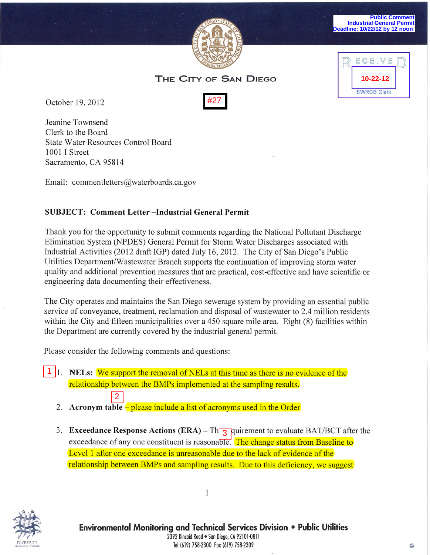



October 19, 2012

Jeanine Townsend Clerk to the Board State Water Resources Control Board 1001 I Street Sacramento, CA 95814

Email: commentletters@waterboards.ca.gov

## **SUBJECT: Comment Letter -Industrial General Permit**

Thank you for the opportunity to submit comments regarding the National Pollutant Discharge Elimination System (NPDES) General Permit for Storm Water Discharges associated with Industrial Activities (2012 draft IGP) dated July 16,2012. The City of San Diego's Public Utilities Department/Wastewater Branch supports the continuation of improving storm water quality and additional prevention measures that are practical, cost-effective and have scientific or engineering data documenting their effectiveness. Cocober 19, 2012<br>
2012<br>
2012 Francine Townsend<br>
Cleark to the Board<br>
State Water Resources Control Board<br>
3011 I Street<br>
Statemento, CA 95814<br>
Email: commentletters@waterboards.ca.gov<br>
SUBJECT: Comment Letter --Industrial

The City operates and maintains the San Diego sewerage system by providing an essential public service of conveyance, treatment, reclamation and disposal of wastewater to 2.4 million residents within the City and fifteen municipalities over a 450 square mile area. Eight (8) facilities within the Department are currently covered by the industrial general permit.

Please consider the following comments and questions:

1. **NELs:** We support the removal of NELs at this time as there is no evidence of the relationship between the BMPs implemented at the sampling results.

- 2. **Acronym table** please include a list of acronyms used in the Order
- 3. **Exceedance Response Actions (ERA)** Th**<sub>3</sub>** quirement to evaluate BAT/BCT after the exceedance of any one constituent is reasonable. The change status from Baseline to Level 1 after one exceedance is unreasonable due to the lack of evidence of the relationship between BMPs and sampling results. Due to this deficiency, we suggest

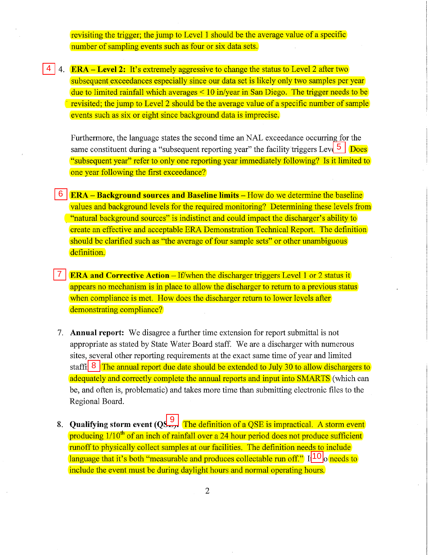revisiting the trigger; the jump to Level 1 should be the average value of a specific number of sampling events such as four or six data sets.

4 4. **ERA – Level 2:** It's extremely aggressive to change the status to Level 2 after two subsequent exceedances especially since our data set is likely only two samples per year due to limited rainfall which averages  $\leq 10$  in/year in San Diego. The trigger needs to be revisited; the jump to Level 2 should be the average value of a specific number of sample events such as six or eight since background data is imprecise.

Furthermore, the language states the second time an NAL exceedance occurring for the same constituent during a "subsequent reporting year" the facility triggers Level  $\frac{5}{2}$ . Does "subsequent year" refer to only one reporting year immediately following? Is it limited to one year following the first exceedance?

- 5. **ERA - Background sources and Baseline limits**  How do we determine the baseline values and background levels for the required monitoring? Determining these levels from . "natural background sources" is indistinct and could impact the discharger's ability to create an effective and acceptable ERA Demonstration Technical Report. The definition should be clarified such as "the average of four sample sets" or other unambiguous definition.
- 6. **ERA and Corrective Action**  If/when the discharger triggers Level 1 or 2 status it appears no mechanism is in place to allow the discharger to return to a previous status when compliance is met. How does the discharger return to lower levels after demonstrating compliance?
- 7. **Annual report:** We disagree a further time extension for report submittal is not appropriate as stated by State Water Board staff. We are a discharger with numerous sites, several other reporting requirements at the exact same time of year and limited staffi<sup>3</sup> The annual report due date should be extended to July 30 to allow dischargers to adequately and correctly complete the annual reports and input into SMARTS (which can be, and often is, problematic) and takes more time than submitting electronic files to the Regional Board. 4 **4. ERA** and **Example 12** if the extremely aggressive to change the status to Level 2 after ty subsequent exceedances especially since our data set is flikely only two samples properties the first of the impact of the
	- 8. **Qualifying storm event (QSE):** The definition of a QSE is impractical. A storm event producing  $1/10<sup>th</sup>$  of an inch of rainfall over a 24 hour period does not produce sufficient runoff to physically collect samples at our facilities. The definition needs to include language that it's both "measurable and produces collectable run off." I $[10]$ o needs to include the event must be during daylight hours and normal operating hours.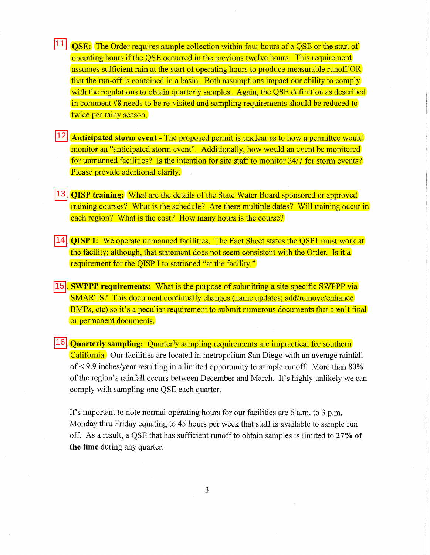**11 QSE:** The Order requires sample collection within four hours of a QSE or the start of operating hours if the QSE occurred in the previous twelve hours. This requirement assumes sufficient rain at the start of operating hours to produce measurable runoff OR that the run-off is contained in a basin. Both assumptions impact our ability to comply with the regulations to obtain quarterly samples. Again, the QSE definition as described in comment #8 needs to be re-visited and sampling requirements should be reduced to twice per rainy season.

- 12 **Anticipated storm event** The proposed permit is unclear as to how a permittee would monitor an "anticipated storm event". Additionally, how would an event be monitored for unmanned facilities? Is the intention for site staff to monitor 2417 for storm events? Please provide additional clarity.
- 11. **QISP training:** What are the details of the State Water Board sponsored or approved training courses? What is the schedule? Are there multiple dates? Will training occur in each region? What is the cost? How many hours is the course?
- 12. **QISP I:** We operate unmanned facilities. The Fact Sheet states the QSPI must work at the facility; although, that statement does not seem consistent with the Order. Is it a requirement for the QISP I to stationed "at the facility."
- 13. **SWPPP requirements:** What is the purpose of submitting a site-specific SWPPP via SMARTS? This document continually changes (name updates; add/remove/enhance BMPs, etc) so it's a peculiar requirement to submit numerous documents that aren't final or permanent documents. 11<br>12<br>13<br>14<br>15<br>16

14. **Quarterly sampling:** Quarterly sampling requirements are impractical for southern California. Our facilities are located in metropolitan San Diego with an average rainfall of < 9.9 inches/year resulting in a limited opportunity to sample runoff. More than 80% of the region's rainfall occurs between December and March. It's highly unlikely we can comply with sampling one QSE each quarter.

It's important to note normal operating hours for our facilities are 6 a.m. to 3 p.m. Monday thru Friday equating to 45 hours per week that staff is available to sample run off. As a result, a QSE that has sufficient runoff to obtain samples is limited to 27% **of the time** during any quarter.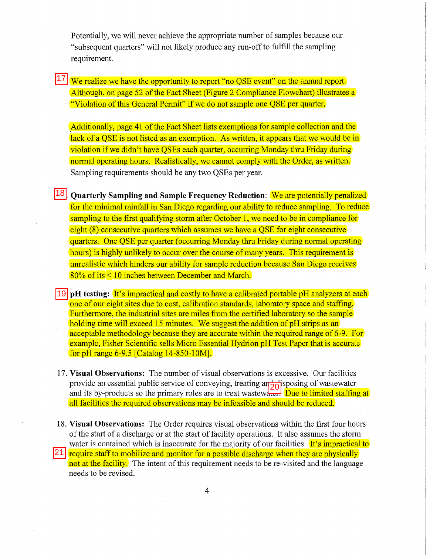Potentially, we will never achieve the appropriate number of samples because our "subsequent quarters" will not likely produce any run-off to fulfill the sampling requirement.

17 We realize we have the opportunity to report "no QSE event" on the annual report. Although, on page 52 of the Fact Sheet (Figure 2 Compliance Flowchart) illustrates a "Violation of this General Permit" if we do not sample one QSE per quarter.

Additionally, page 41 of the Fact Sheet lists exemptions for sample collection and the lack of a QSE is not listed as an exemption. As written, it appears that we would be in violation if we didn't have QSEs each quarter, occurring Monday thru Friday during normal operating hours. Realistically, we cannot comply with the Order, as written. Sampling requirements should be any two QSEs per year.

15. **Quarterly Sampling and Sample Frequency Reduction:** We are potentially penalized for the minimal rainfall in San Diego regarding our ability to reduce sampling. To reduce sampling to the first qualifying storm after October 1, we need to be in compliance for eight (8) consecutive quarters which assumes we have a QSE for eight consecutive quarters. One QSE per quarter (occurring Monday thru Friday during normal operating hours) is highly unlikely to occur over the course of many years. This requirement is unrealistic which hinders our ability for sample reduction because San Diego receives 80% of its < 10 inches between December and March. 18<br>19

19 **pH** testing: It's impractical and costly to have a calibrated portable pH analyzers at each one of our eight sites due to cost, calibration standards, laboratory space and staffing. Furthermore, the industrial sites are miles from the certified laboratory so the sample holding time will exceed 15 minutes. We suggest the addition of pH strips as an acceptable methodology because they are accurate within the required range of 6-9. For example, Fisher Scientific sells Micro Essential Hydrion pH Test Paper that is accurate for pH range 6-9.5 [Catalog 14-850-10M].

- 17. **Visual Observations:** The number of visual observations is excessive. Our facilities provide an essential public service of conveying, treating and disposing of wastewater and its by-products so the primary roles are to treat wastewater. Due to limited staffing at all facilities the required observations may be infeasible and should be reduced. 20
- 18. **Visual Observations:** The Order requires visual observations within the first four hours of the start of a discharge or at the start of facility operations. It also assumes the storm water is contained which is inaccurate for the majority of our facilities. It's impractical to
- 21 require staff to mobilize and monitor for a possible discharge when they are physically not at the facility. The intent of this requirement needs to be re-visited and the language needs to be revised.